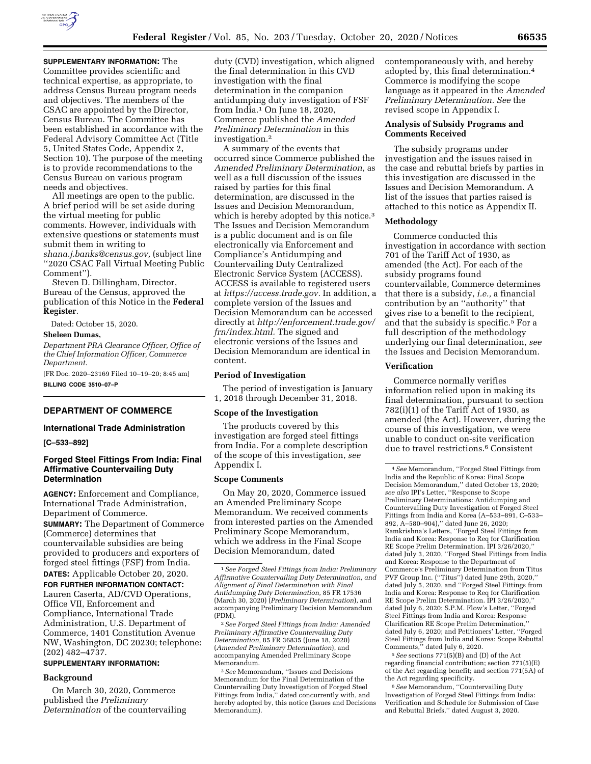

**SUPPLEMENTARY INFORMATION:** The Committee provides scientific and technical expertise, as appropriate, to address Census Bureau program needs and objectives. The members of the CSAC are appointed by the Director, Census Bureau. The Committee has been established in accordance with the Federal Advisory Committee Act (Title 5, United States Code, Appendix 2, Section 10). The purpose of the meeting is to provide recommendations to the Census Bureau on various program needs and objectives.

All meetings are open to the public. A brief period will be set aside during the virtual meeting for public comments. However, individuals with extensive questions or statements must submit them in writing to *[shana.j.banks@census.gov,](mailto:shana.j.banks@census.gov)* (subject line ''2020 CSAC Fall Virtual Meeting Public Comment'').

Steven D. Dillingham, Director, Bureau of the Census, approved the publication of this Notice in the **Federal Register**.

Dated: October 15, 2020.

# **Sheleen Dumas,**

*Department PRA Clearance Officer, Office of the Chief Information Officer, Commerce Department.* 

[FR Doc. 2020–23169 Filed 10–19–20; 8:45 am] **BILLING CODE 3510–07–P** 

### **DEPARTMENT OF COMMERCE**

# **International Trade Administration**

**[C–533–892]** 

# **Forged Steel Fittings From India: Final Affirmative Countervailing Duty Determination**

**AGENCY:** Enforcement and Compliance, International Trade Administration, Department of Commerce.

**SUMMARY:** The Department of Commerce (Commerce) determines that countervailable subsidies are being provided to producers and exporters of forged steel fittings (FSF) from India.

**DATES:** Applicable October 20, 2020. **FOR FURTHER INFORMATION CONTACT:**  Lauren Caserta, AD/CVD Operations, Office VII, Enforcement and Compliance, International Trade Administration, U.S. Department of Commerce, 1401 Constitution Avenue NW, Washington, DC 20230; telephone: (202) 482–4737.

# **SUPPLEMENTARY INFORMATION:**

# **Background**

On March 30, 2020, Commerce published the *Preliminary Determination* of the countervailing

duty (CVD) investigation, which aligned the final determination in this CVD investigation with the final determination in the companion antidumping duty investigation of FSF from India.1 On June 18, 2020, Commerce published the *Amended Preliminary Determination* in this investigation.2

A summary of the events that occurred since Commerce published the *Amended Preliminary Determination,* as well as a full discussion of the issues raised by parties for this final determination, are discussed in the Issues and Decision Memorandum, which is hereby adopted by this notice.<sup>3</sup> The Issues and Decision Memorandum is a public document and is on file electronically via Enforcement and Compliance's Antidumping and Countervailing Duty Centralized Electronic Service System (ACCESS). ACCESS is available to registered users at *[https://access.trade.gov.](https://access.trade.gov)* In addition, a complete version of the Issues and Decision Memorandum can be accessed directly at *[http://enforcement.trade.gov/](http://enforcement.trade.gov/frn/index.html)  [frn/index.html.](http://enforcement.trade.gov/frn/index.html)* The signed and electronic versions of the Issues and Decision Memorandum are identical in content.

#### **Period of Investigation**

The period of investigation is January 1, 2018 through December 31, 2018.

### **Scope of the Investigation**

The products covered by this investigation are forged steel fittings from India. For a complete description of the scope of this investigation, *see*  Appendix I.

#### **Scope Comments**

On May 20, 2020, Commerce issued an Amended Preliminary Scope Memorandum. We received comments from interested parties on the Amended Preliminary Scope Memorandum, which we address in the Final Scope Decision Memorandum, dated

2*See Forged Steel Fittings from India: Amended Preliminary Affirmative Countervailing Duty Determination,* 85 FR 36835 (June 18, 2020) (*Amended Preliminary Determination*), and accompanying Amended Preliminary Scope Memorandum.

3*See* Memorandum, ''Issues and Decisions Memorandum for the Final Determination of the Countervailing Duty Investigation of Forged Steel Fittings from India," dated concurrently with, and hereby adopted by, this notice (Issues and Decisions Memorandum).

contemporaneously with, and hereby adopted by, this final determination.4 Commerce is modifying the scope language as it appeared in the *Amended Preliminary Determination. See* the revised scope in Appendix I.

## **Analysis of Subsidy Programs and Comments Received**

The subsidy programs under investigation and the issues raised in the case and rebuttal briefs by parties in this investigation are discussed in the Issues and Decision Memorandum. A list of the issues that parties raised is attached to this notice as Appendix II.

# **Methodology**

Commerce conducted this investigation in accordance with section 701 of the Tariff Act of 1930, as amended (the Act). For each of the subsidy programs found countervailable, Commerce determines that there is a subsidy, *i.e.,* a financial contribution by an ''authority'' that gives rise to a benefit to the recipient, and that the subsidy is specific.5 For a full description of the methodology underlying our final determination, *see*  the Issues and Decision Memorandum.

## **Verification**

Commerce normally verifies information relied upon in making its final determination, pursuant to section 782(i)(1) of the Tariff Act of 1930, as amended (the Act). However, during the course of this investigation, we were unable to conduct on-site verification due to travel restrictions.6 Consistent

5*See* sections 771(5)(B) and (D) of the Act regarding financial contribution; section 771(5)(E) of the Act regarding benefit; and section 771(5A) of the Act regarding specificity.

6*See* Memorandum, ''Countervailing Duty Investigation of Forged Steel Fittings from India: Verification and Schedule for Submission of Case and Rebuttal Briefs,'' dated August 3, 2020.

<sup>1</sup>*See Forged Steel Fittings from India: Preliminary Affirmative Countervailing Duty Determination, and Alignment of Final Determination with Final Antidumping Duty Determination,* 85 FR 17536 (March 30, 2020) (*Preliminary Determination*), and accompanying Preliminary Decision Memorandum (PDM).

<sup>4</sup>*See* Memorandum, ''Forged Steel Fittings from India and the Republic of Korea: Final Scope Decision Memorandum,'' dated October 13, 2020; *see also* IPI's Letter, ''Response to Scope Preliminary Determinations: Antidumping and Countervailing Duty Investigation of Forged Steel Fittings from India and Korea (A–533–891, C–533– 892, A–580–904),'' dated June 26, 2020; Ramkrishna's Letters, ''Forged Steel Fittings from India and Korea: Response to Req for Clarification RE Scope Prelim Determination. IPI 3/26/2020,'' dated July 3, 2020, ''Forged Steel Fittings from India and Korea: Response to the Department of Commerce's Preliminary Determination from Titus PVF Group Inc. (''Titus'') dated June 29th, 2020,'' dated July 5, 2020, and ''Forged Steel Fittings from India and Korea: Response to Req for Clarification RE Scope Prelim Determination. IPI 3/26/2020,'' dated July 6, 2020; S.P.M. Flow's Letter, ''Forged Steel Fittings from India and Korea: Response Clarification RE Scope Prelim Determination,'' dated July 6, 2020; and Petitioners' Letter, ''Forged Steel Fittings from India and Korea: Scope Rebuttal Comments,'' dated July 6, 2020.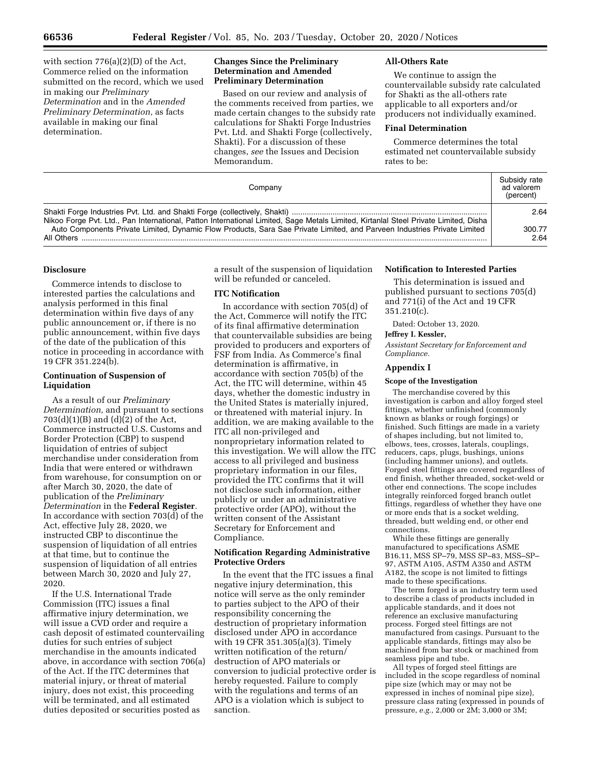with section 776(a)(2)(D) of the Act, Commerce relied on the information submitted on the record, which we used in making our *Preliminary Determination* and in the *Amended Preliminary Determination,* as facts available in making our final determination.

## **Changes Since the Preliminary Determination and Amended Preliminary Determination**

Based on our review and analysis of the comments received from parties, we made certain changes to the subsidy rate calculations for Shakti Forge Industries Pvt. Ltd. and Shakti Forge (collectively, Shakti). For a discussion of these changes, *see* the Issues and Decision Memorandum.

# **All-Others Rate**

We continue to assign the countervailable subsidy rate calculated for Shakti as the all-others rate applicable to all exporters and/or producers not individually examined.

### **Final Determination**

Commerce determines the total estimated net countervailable subsidy rates to be:

| Companv                                                                                                                                                                                                                                                                       | Subsidy rate<br>ad valorem<br>(percent) |
|-------------------------------------------------------------------------------------------------------------------------------------------------------------------------------------------------------------------------------------------------------------------------------|-----------------------------------------|
|                                                                                                                                                                                                                                                                               | 2.64                                    |
| Nikoo Forge Pvt. Ltd., Pan International, Patton International Limited, Sage Metals Limited, Kirtanlal Steel Private Limited, Disha<br>Auto Components Private Limited, Dynamic Flow Products, Sara Sae Private Limited, and Parveen Industries Private Limited<br>All Others | 300.77<br>2.64                          |

# **Disclosure**

Commerce intends to disclose to interested parties the calculations and analysis performed in this final determination within five days of any public announcement or, if there is no public announcement, within five days of the date of the publication of this notice in proceeding in accordance with 19 CFR 351.224(b).

## **Continuation of Suspension of Liquidation**

As a result of our *Preliminary Determination,* and pursuant to sections  $703(d)(1)(B)$  and  $(d)(2)$  of the Act, Commerce instructed U.S. Customs and Border Protection (CBP) to suspend liquidation of entries of subject merchandise under consideration from India that were entered or withdrawn from warehouse, for consumption on or after March 30, 2020, the date of publication of the *Preliminary Determination* in the **Federal Register**. In accordance with section 703(d) of the Act, effective July 28, 2020, we instructed CBP to discontinue the suspension of liquidation of all entries at that time, but to continue the suspension of liquidation of all entries between March 30, 2020 and July 27, 2020.

If the U.S. International Trade Commission (ITC) issues a final affirmative injury determination, we will issue a CVD order and require a cash deposit of estimated countervailing duties for such entries of subject merchandise in the amounts indicated above, in accordance with section 706(a) of the Act. If the ITC determines that material injury, or threat of material injury, does not exist, this proceeding will be terminated, and all estimated duties deposited or securities posted as

a result of the suspension of liquidation will be refunded or canceled.

# **ITC Notification**

In accordance with section 705(d) of the Act, Commerce will notify the ITC of its final affirmative determination that countervailable subsidies are being provided to producers and exporters of FSF from India. As Commerce's final determination is affirmative, in accordance with section 705(b) of the Act, the ITC will determine, within 45 days, whether the domestic industry in the United States is materially injured, or threatened with material injury. In addition, we are making available to the ITC all non-privileged and nonproprietary information related to this investigation. We will allow the ITC access to all privileged and business proprietary information in our files, provided the ITC confirms that it will not disclose such information, either publicly or under an administrative protective order (APO), without the written consent of the Assistant Secretary for Enforcement and Compliance.

# **Notification Regarding Administrative Protective Orders**

In the event that the ITC issues a final negative injury determination, this notice will serve as the only reminder to parties subject to the APO of their responsibility concerning the destruction of proprietary information disclosed under APO in accordance with 19 CFR 351.305(a)(3). Timely written notification of the return/ destruction of APO materials or conversion to judicial protective order is hereby requested. Failure to comply with the regulations and terms of an APO is a violation which is subject to sanction.

#### **Notification to Interested Parties**

This determination is issued and published pursuant to sections 705(d) and 771(i) of the Act and 19 CFR 351.210(c).

Dated: October 13, 2020.

# **Jeffrey I. Kessler,**

*Assistant Secretary for Enforcement and Compliance.* 

#### **Appendix I**

#### **Scope of the Investigation**

The merchandise covered by this investigation is carbon and alloy forged steel fittings, whether unfinished (commonly known as blanks or rough forgings) or finished. Such fittings are made in a variety of shapes including, but not limited to, elbows, tees, crosses, laterals, couplings, reducers, caps, plugs, bushings, unions (including hammer unions), and outlets. Forged steel fittings are covered regardless of end finish, whether threaded, socket-weld or other end connections. The scope includes integrally reinforced forged branch outlet fittings, regardless of whether they have one or more ends that is a socket welding, threaded, butt welding end, or other end connections.

While these fittings are generally manufactured to specifications ASME B16.11, MSS SP–79, MSS SP–83, MSS–SP– 97, ASTM A105, ASTM A350 and ASTM A182, the scope is not limited to fittings made to these specifications.

The term forged is an industry term used to describe a class of products included in applicable standards, and it does not reference an exclusive manufacturing process. Forged steel fittings are not manufactured from casings. Pursuant to the applicable standards, fittings may also be machined from bar stock or machined from seamless pipe and tube.

All types of forged steel fittings are included in the scope regardless of nominal pipe size (which may or may not be expressed in inches of nominal pipe size), pressure class rating (expressed in pounds of pressure, *e.g.,* 2,000 or 2M; 3,000 or 3M;